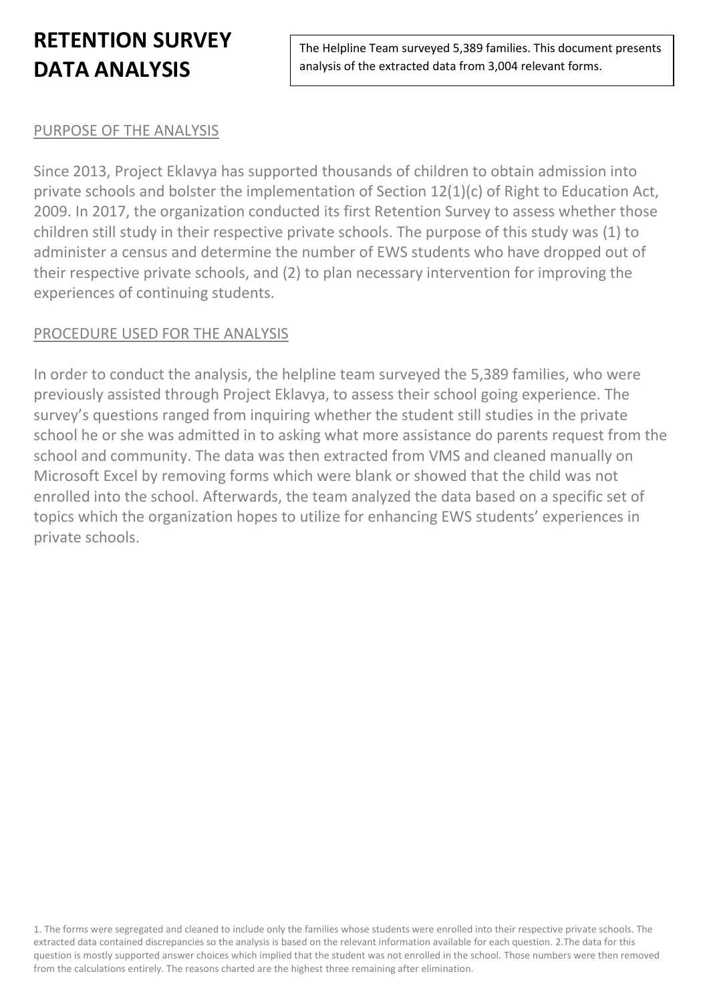The Helpline Team surveyed 5,389 families. This document presents analysis of the extracted data from 3,004 relevant forms.

### PURPOSE OF THE ANALYSIS

Since 2013, Project Eklavya has supported thousands of children to obtain admission into private schools and bolster the implementation of Section 12(1)(c) of Right to Education Act, 2009. In 2017, the organization conducted its first Retention Survey to assess whether those children still study in their respective private schools. The purpose of this study was (1) to administer a census and determine the number of EWS students who have dropped out of their respective private schools, and (2) to plan necessary intervention for improving the experiences of continuing students.

### PROCEDURE USED FOR THE ANALYSIS

In order to conduct the analysis, the helpline team surveyed the 5,389 families, who were previously assisted through Project Eklavya, to assess their school going experience. The survey's questions ranged from inquiring whether the student still studies in the private school he or she was admitted in to asking what more assistance do parents request from the school and community. The data was then extracted from VMS and cleaned manually on Microsoft Excel by removing forms which were blank or showed that the child was not enrolled into the school. Afterwards, the team analyzed the data based on a specific set of topics which the organization hopes to utilize for enhancing EWS students' experiences in private schools.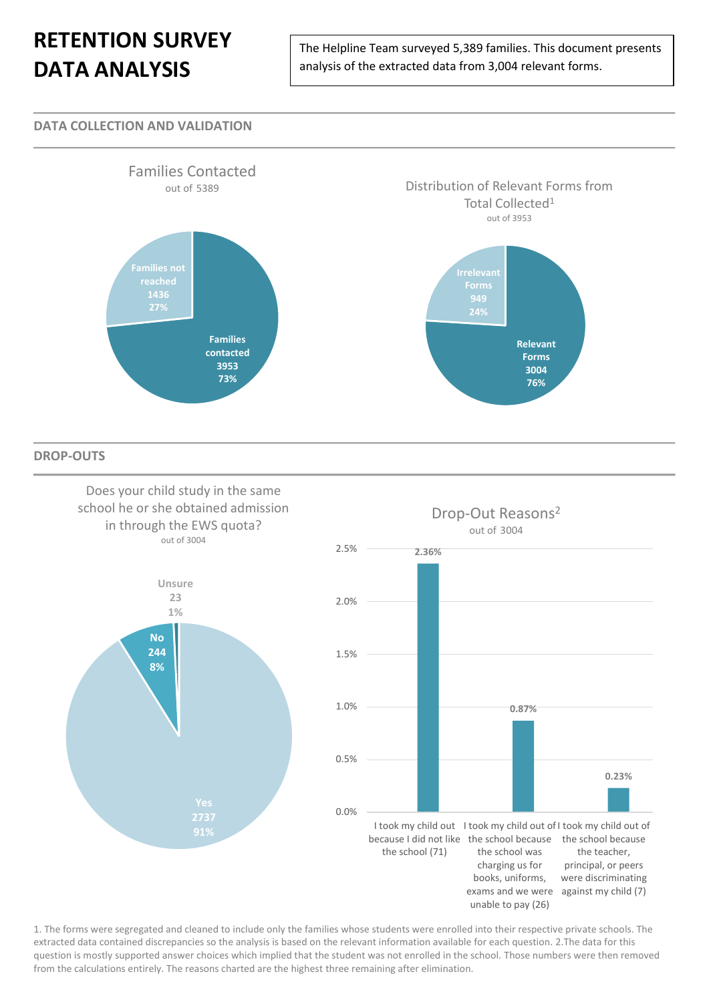The Helpline Team surveyed 5,389 families. This document presents analysis of the extracted data from 3,004 relevant forms.

#### **DATA COLLECTION AND VALIDATION**



**DROP-OUTS**

Does your child study in the same school he or she obtained admission in through the EWS quota? out of 3004



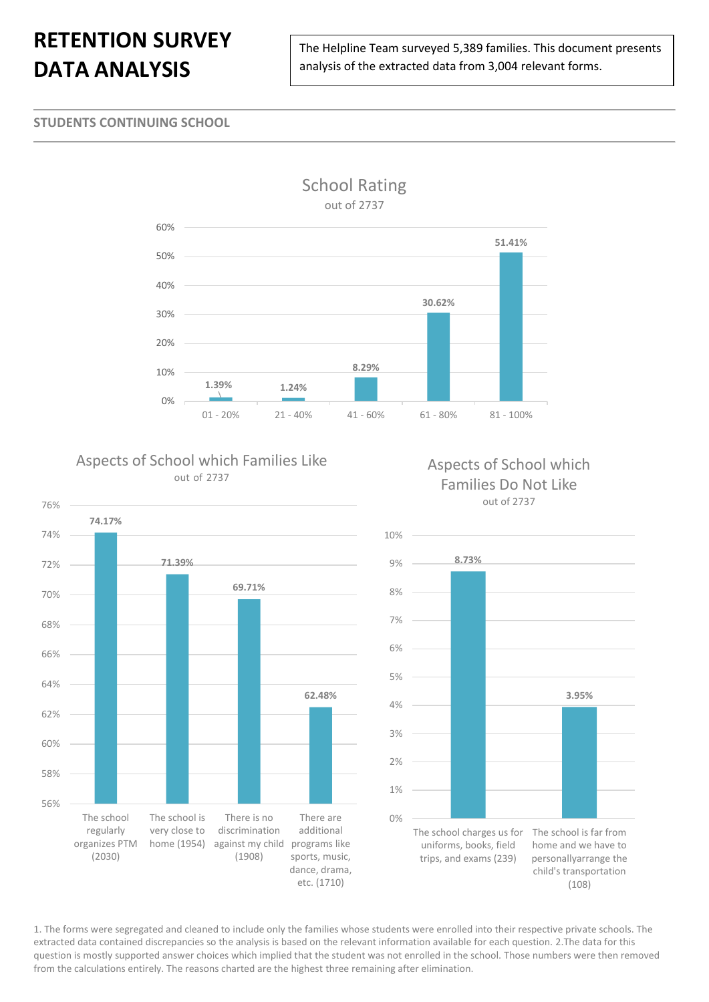The Helpline Team surveyed 5,389 families. This document presents analysis of the extracted data from 3,004 relevant forms.

#### **STUDENTS CONTINUING SCHOOL**



### Aspects of School which Families Like out of 2737



### Aspects of School which Families Do Not Like out of 2737

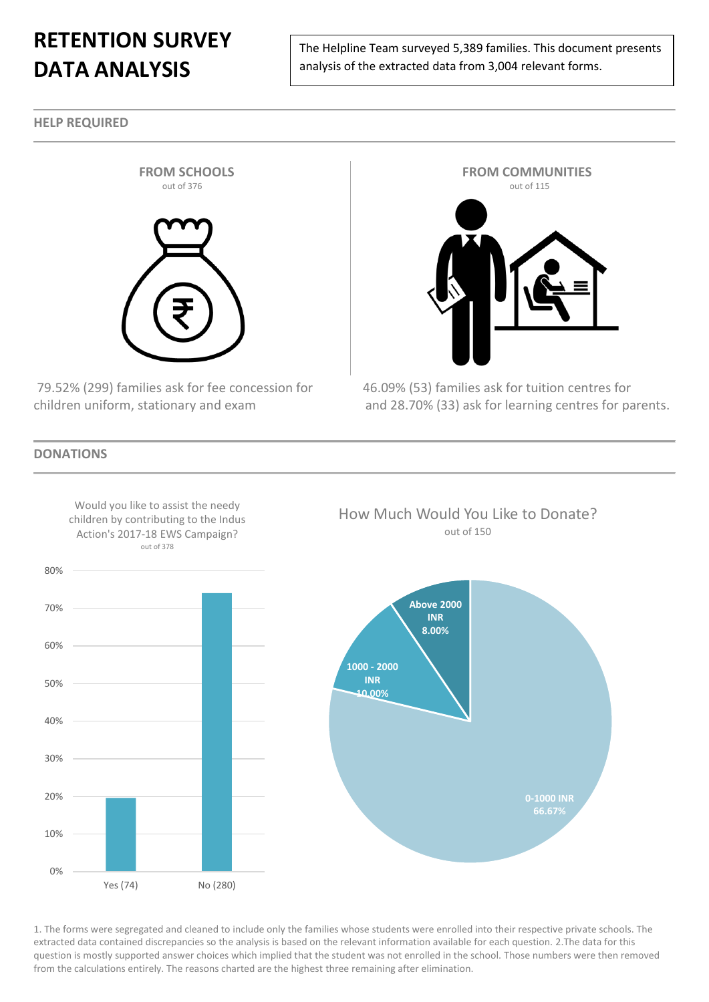The Helpline Team surveyed 5,389 families. This document presents analysis of the extracted data from 3,004 relevant forms.

**HELP REQUIRED**



79.52% (299) families ask for fee concession for 46.09% (53) families ask for tuition centres for



children uniform, stationary and exam and 28.70% (33) ask for learning centres for parents.

**DONATIONS**